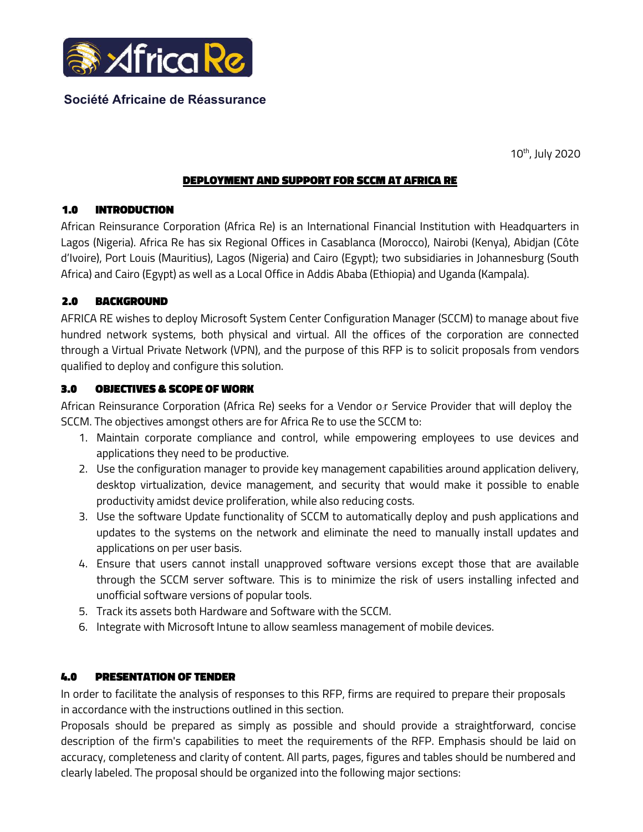

# Société Africaine de Réassurance

10th, July 2020

### DEPLOYMENT AND SUPPORT FOR SCCM AT AFRICA RE

## 1.0 INTRODUCTION

African Reinsurance Corporation (Africa Re) is an International Financial Institution with Headquarters in Lagos (Nigeria). Africa Re has six Regional Offices in Casablanca (Morocco), Nairobi (Kenya), Abidjan (Côte d'Ivoire), Port Louis (Mauritius), Lagos (Nigeria) and Cairo (Egypt); two subsidiaries in Johannesburg (South Africa) and Cairo (Egypt) as well as a Local Office in Addis Ababa (Ethiopia) and Uganda (Kampala).

### 2.0 BACKGROUND

AFRICA RE wishes to deploy Microsoft System Center Configuration Manager (SCCM) to manage about five hundred network systems, both physical and virtual. All the offices of the corporation are connected through a Virtual Private Network (VPN), and the purpose of this RFP is to solicit proposals from vendors qualified to deploy and configure this solution.

### 3.0 OBJECTIVES & SCOPE OF WORK

African Reinsurance Corporation (Africa Re) seeks for a Vendor o:r Service Provider that will deploy the SCCM. The objectives amongst others are for Africa Re to use the SCCM to:

- 1. Maintain corporate compliance and control, while empowering employees to use devices and applications they need to be productive.
- 2. Use the configuration manager to provide key management capabilities around application delivery, desktop virtualization, device management, and security that would make it possible to enable productivity amidst device proliferation, while also reducing costs.
- 3. Use the software Update functionality of SCCM to automatically deploy and push applications and updates to the systems on the network and eliminate the need to manually install updates and applications on per user basis.
- 4. Ensure that users cannot install unapproved software versions except those that are available through the SCCM server software. This is to minimize the risk of users installing infected and unofficial software versions of popular tools.
- 5. Track its assets both Hardware and Software with the SCCM.
- 6. Integrate with Microsoft Intune to allow seamless management of mobile devices.

## 4.0 PRESENTATION OF TENDER

In order to facilitate the analysis of responses to this RFP, firms are required to prepare their proposals in accordance with the instructions outlined in this section.

Proposals should be prepared as simply as possible and should provide a straightforward, concise description of the firm's capabilities to meet the requirements of the RFP. Emphasis should be laid on accuracy, completeness and clarity of content. All parts, pages, figures and tables should be numbered and clearly labeled. The proposal should be organized into the following major sections: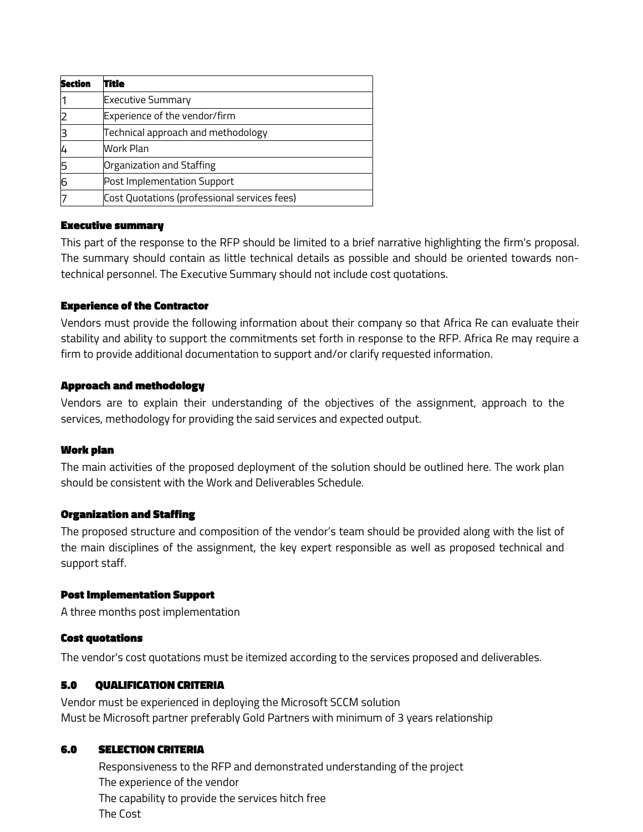| <b>Section</b> | Title                                        |
|----------------|----------------------------------------------|
|                | <b>Executive Summary</b>                     |
|                | Experience of the vendor/firm                |
|                | Technical approach and methodology           |
|                | Work Plan                                    |
| 5              | Organization and Staffing                    |
| 16             | Post Implementation Support                  |
|                | Cost Quotations (professional services fees) |

### Executive summary

This part of the response to the RFP should be limited to a brief narrative highlighting the firm's proposal. The summary should contain as little technical details as possible and should be oriented towards nontechnical personnel. The Executive Summary should not include cost quotations.

### Experience of the Contractor

Vendors must provide the following information about their company so that Africa Re can evaluate their stability and ability to support the commitments set forth in response to the RFP. Africa Re may require a firm to provide additional documentation to support and/or clarify requested information.

### Approach and methodology

Vendors are to explain their understanding of the objectives of the assignment, approach to the services, methodology for providing the said services and expected output.

## Work plan

The main activities of the proposed deployment of the solution should be outlined here. The work plan should be consistent with the Work and Deliverables Schedule.

#### Organization and Staffing

The proposed structure and composition of the vendor's team should be provided along with the list of the main disciplines of the assignment, the key expert responsible as well as proposed technical and support staff.

#### Post Implementation Support

A three months post implementation

#### Cost quotations

The vendor's cost quotations must be itemized according to the services proposed and deliverables.

## 5.0 QUALIFICATION CRITERIA

Vendor must be experienced in deploying the Microsoft SCCM solution Must be Microsoft partner preferably Gold Partners with minimum of 3 years relationship

## 6.0 SELECTION CRITERIA

 Responsiveness to the RFP and demonstrated understanding of the project The experience of the vendor The capability to provide the services hitch free The Cost